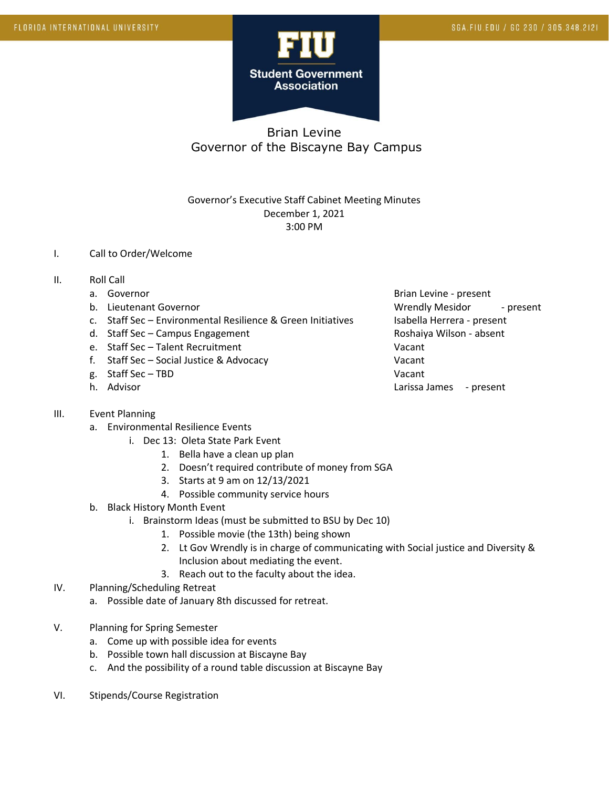

# Brian Levine Governor of the Biscayne Bay Campus

### Governor's Executive Staff Cabinet Meeting Minutes December 1, 2021 3:00 PM

### I. Call to Order/Welcome

- II. Roll Call
	-
	-
	- c. Staff Sec Environmental Resilience & Green Initiatives Isabella Herrera present
	- d. Staff Sec Campus Engagement Roshaiya Wilson absent
	- e. Staff Sec Talent Recruitment Vacant
	- f. Staff Sec Social Justice & Advocacy Vacant
	- g. Staff Sec TBD Vacant
	-

#### III. Event Planning

- a. Environmental Resilience Events
	- i. Dec 13: Oleta State Park Event
		- 1. Bella have a clean up plan
		- 2. Doesn't required contribute of money from SGA
		- 3. Starts at 9 am on 12/13/2021
		- 4. Possible community service hours
- b. Black History Month Event
	- i. Brainstorm Ideas (must be submitted to BSU by Dec 10)
		- 1. Possible movie (the 13th) being shown
		- 2. Lt Gov Wrendly is in charge of communicating with Social justice and Diversity & Inclusion about mediating the event.
		- 3. Reach out to the faculty about the idea.
- IV. Planning/Scheduling Retreat
	- a. Possible date of January 8th discussed for retreat.
- V. Planning for Spring Semester
	- a. Come up with possible idea for events
	- b. Possible town hall discussion at Biscayne Bay
	- c. And the possibility of a round table discussion at Biscayne Bay
- VI. Stipends/Course Registration

a. Governor and the set of the set of the set of the Brian Levine - present b. Lieutenant Governor and Wrendly Mesidor - present h. Advisor Charles Communication and the Charles Charles Charles Larissa James - present